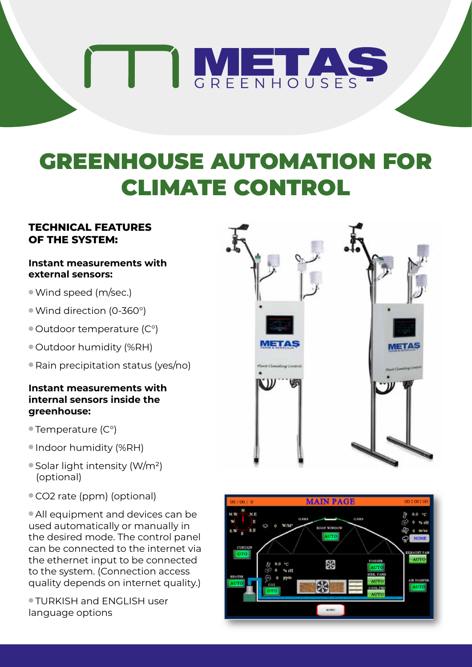# THE AS

## GREENHOUSE AUTOMATION FOR CLIMATE CONTROL

### **TECHNICAL FEATURES OF THE SYSTEM:**

#### **Instant measurements with external sensors:**

- <sup>l</sup>Wind speed (m/sec.)
- <sup>l</sup>Wind direction (0-360°)
- $\bullet$  Outdoor temperature (C°)
- $\bullet$  Outdoor humidity (%RH)
- $\bullet$  Rain precipitation status (yes/no)

#### **Instant measurements with internal sensors inside the greenhouse:**

- $\bullet$  Temperature (C°)
- **Indoor humidity (%RH)**
- $\bullet$  Solar light intensity (W/m<sup>2</sup>) (optional)
- CO2 rate (ppm) (optional)

• All equipment and devices can be used automatically or manually in the desired mode. The control panel can be connected to the internet via the ethernet input to be connected to the system. (Connection access quality depends on internet quality.)

**TURKISH and ENGLISH user** language options